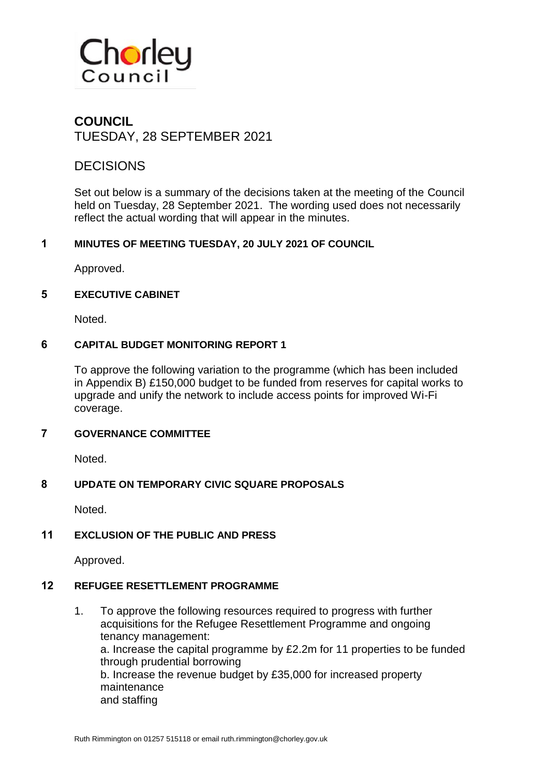

# **COUNCIL** TUESDAY, 28 SEPTEMBER 2021

# **DECISIONS**

Set out below is a summary of the decisions taken at the meeting of the Council held on Tuesday, 28 September 2021. The wording used does not necessarily reflect the actual wording that will appear in the minutes.

## **1 MINUTES OF MEETING TUESDAY, 20 JULY 2021 OF COUNCIL**

Approved.

#### **5 EXECUTIVE CABINET**

Noted.

#### **6 CAPITAL BUDGET MONITORING REPORT 1**

To approve the following variation to the programme (which has been included in Appendix B) £150,000 budget to be funded from reserves for capital works to upgrade and unify the network to include access points for improved Wi-Fi coverage.

#### **7 GOVERNANCE COMMITTEE**

Noted.

#### **8 UPDATE ON TEMPORARY CIVIC SQUARE PROPOSALS**

Noted.

## **11 EXCLUSION OF THE PUBLIC AND PRESS**

Approved.

#### **12 REFUGEE RESETTLEMENT PROGRAMME**

1. To approve the following resources required to progress with further acquisitions for the Refugee Resettlement Programme and ongoing tenancy management: a. Increase the capital programme by £2.2m for 11 properties to be funded through prudential borrowing b. Increase the revenue budget by £35,000 for increased property maintenance and staffing